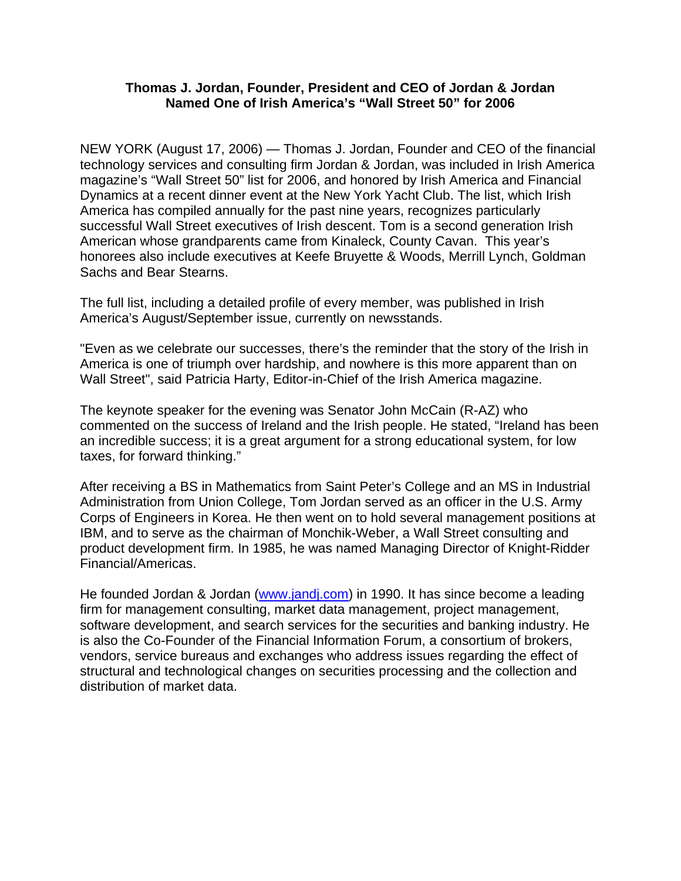## **Thomas J. Jordan, Founder, President and CEO of Jordan & Jordan Named One of Irish America's "Wall Street 50" for 2006**

NEW YORK (August 17, 2006) — Thomas J. Jordan, Founder and CEO of the financial technology services and consulting firm Jordan & Jordan, was included in Irish America magazine's "Wall Street 50" list for 2006, and honored by Irish America and Financial Dynamics at a recent dinner event at the New York Yacht Club. The list, which Irish America has compiled annually for the past nine years, recognizes particularly successful Wall Street executives of Irish descent. Tom is a second generation Irish American whose grandparents came from Kinaleck, County Cavan. This year's honorees also include executives at Keefe Bruyette & Woods, Merrill Lynch, Goldman Sachs and Bear Stearns.

The full list, including a detailed profile of every member, was published in Irish America's August/September issue, currently on newsstands.

"Even as we celebrate our successes, there's the reminder that the story of the Irish in America is one of triumph over hardship, and nowhere is this more apparent than on Wall Street", said Patricia Harty, Editor-in-Chief of the Irish America magazine.

The keynote speaker for the evening was Senator John McCain (R-AZ) who commented on the success of Ireland and the Irish people. He stated, "Ireland has been an incredible success; it is a great argument for a strong educational system, for low taxes, for forward thinking."

After receiving a BS in Mathematics from Saint Peter's College and an MS in Industrial Administration from Union College, Tom Jordan served as an officer in the U.S. Army Corps of Engineers in Korea. He then went on to hold several management positions at IBM, and to serve as the chairman of Monchik-Weber, a Wall Street consulting and product development firm. In 1985, he was named Managing Director of Knight-Ridder Financial/Americas.

He founded Jordan & Jordan (www.jandj.com) in 1990. It has since become a leading firm for management consulting, market data management, project management, software development, and search services for the securities and banking industry. He is also the Co-Founder of the Financial Information Forum, a consortium of brokers, vendors, service bureaus and exchanges who address issues regarding the effect of structural and technological changes on securities processing and the collection and distribution of market data.